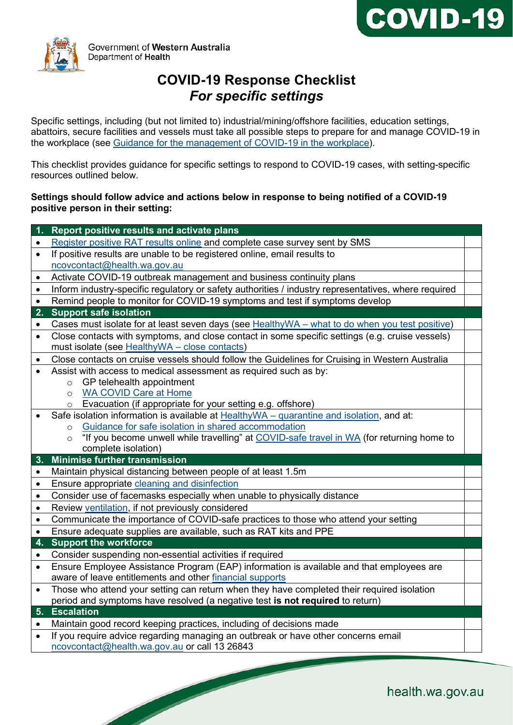



Government of Western Australia Department of Health

# **COVID-19 Response Checklist** *For specific settings*

Specific settings, including (but not limited to) industrial/mining/offshore facilities, education settings, abattoirs, secure facilities and vessels must take all possible steps to prepare for and manage COVID-19 in the workplace (see [Guidance for the management of COVID-19 in](https://ww2.health.wa.gov.au/%7E/media/Corp/Documents/Health-for/Infectious-disease/COVID19/TTIQ/Guidance-for-the-management-of-COVID-19-in-the-workplace.pdf) the workplace).

This checklist provides guidance for specific settings to respond to COVID-19 cases, with setting-specific resources outlined below.

#### **Settings should follow advice and actions below in response to being notified of a COVID-19 positive person in their setting:**

|           | Report positive results and activate plans                                                                                                         |
|-----------|----------------------------------------------------------------------------------------------------------------------------------------------------|
| $\bullet$ | Register positive RAT results online and complete case survey sent by SMS                                                                          |
| $\bullet$ | If positive results are unable to be registered online, email results to                                                                           |
|           | ncovcontact@health.wa.gov.au                                                                                                                       |
| $\bullet$ | Activate COVID-19 outbreak management and business continuity plans                                                                                |
| $\bullet$ | Inform industry-specific regulatory or safety authorities / industry representatives, where required                                               |
| $\bullet$ | Remind people to monitor for COVID-19 symptoms and test if symptoms develop                                                                        |
| 2. .      | <b>Support safe isolation</b>                                                                                                                      |
| $\bullet$ | Cases must isolate for at least seven days (see HealthyWA - what to do when you test positive)                                                     |
| $\bullet$ | Close contacts with symptoms, and close contact in some specific settings (e.g. cruise vessels)<br>must isolate (see HealthyWA - close contacts)   |
| $\bullet$ | Close contacts on cruise vessels should follow the Guidelines for Cruising in Western Australia                                                    |
| $\bullet$ | Assist with access to medical assessment as required such as by:                                                                                   |
|           | $\circ$ GP telehealth appointment                                                                                                                  |
|           | <b>WA COVID Care at Home</b><br>$\circ$                                                                                                            |
|           | Evacuation (if appropriate for your setting e.g. offshore)<br>$\circ$                                                                              |
|           | Safe isolation information is available at HealthyWA - quarantine and isolation, and at:                                                           |
|           | o Guidance for safe isolation in shared accommodation<br>"If you become unwell while travelling" at COVID-safe travel in WA (for returning home to |
|           | $\circ$<br>complete isolation)                                                                                                                     |
| 3.        | <b>Minimise further transmission</b>                                                                                                               |
| $\bullet$ | Maintain physical distancing between people of at least 1.5m                                                                                       |
| $\bullet$ | Ensure appropriate cleaning and disinfection                                                                                                       |
| $\bullet$ | Consider use of facemasks especially when unable to physically distance                                                                            |
| $\bullet$ | Review ventilation, if not previously considered                                                                                                   |
| $\bullet$ | Communicate the importance of COVID-safe practices to those who attend your setting                                                                |
| $\bullet$ | Ensure adequate supplies are available, such as RAT kits and PPE                                                                                   |
| 4.        | <b>Support the workforce</b>                                                                                                                       |
| $\bullet$ | Consider suspending non-essential activities if required                                                                                           |
| $\bullet$ | Ensure Employee Assistance Program (EAP) information is available and that employees are                                                           |
|           | aware of leave entitlements and other financial supports                                                                                           |
| $\bullet$ | Those who attend your setting can return when they have completed their required isolation                                                         |
|           | period and symptoms have resolved (a negative test is not required to return)                                                                      |
|           | 5. Escalation                                                                                                                                      |
| $\bullet$ | Maintain good record keeping practices, including of decisions made                                                                                |
|           | If you require advice regarding managing an outbreak or have other concerns email                                                                  |
|           | ncovcontact@health.wa.gov.au or call 13 26843                                                                                                      |
|           |                                                                                                                                                    |

**Contract Contract Contract Contract Contract Contract Contract Contract Contract Contract Contract Contract C**